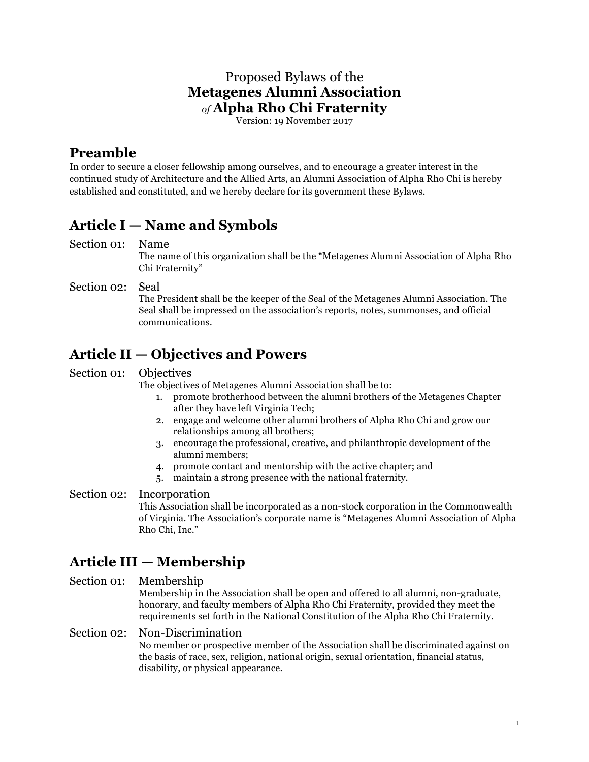### Proposed Bylaws of the **Metagenes Alumni Association** *of* **Alpha Rho Chi Fraternity**

Version: 19 November 2017

### **Preamble**

In order to secure a closer fellowship among ourselves, and to encourage a greater interest in the continued study of Architecture and the Allied Arts, an Alumni Association of Alpha Rho Chi is hereby established and constituted, and we hereby declare for its government these Bylaws.

## **Article I — Name and Symbols**

Section 01: Name

The name of this organization shall be the "Metagenes Alumni Association of Alpha Rho Chi Fraternity"

Section 02: Seal The President shall be the keeper of the Seal of the Metagenes Alumni Association. The Seal shall be impressed on the association's reports, notes, summonses, and official communications.

## **Article II — Objectives and Powers**

Section 01: Objectives

The objectives of Metagenes Alumni Association shall be to:

- 1. promote brotherhood between the alumni brothers of the Metagenes Chapter after they have left Virginia Tech;
- 2. engage and welcome other alumni brothers of Alpha Rho Chi and grow our relationships among all brothers;
- 3. encourage the professional, creative, and philanthropic development of the alumni members;
- 4. promote contact and mentorship with the active chapter; and
- 5. maintain a strong presence with the national fraternity.

Section 02: Incorporation

This Association shall be incorporated as a non-stock corporation in the Commonwealth of Virginia. The Association's corporate name is "Metagenes Alumni Association of Alpha Rho Chi, Inc."

# **Article III — Membership**

Section 01: Membership

Membership in the Association shall be open and offered to all alumni, non-graduate, honorary, and faculty members of Alpha Rho Chi Fraternity, provided they meet the requirements set forth in the National Constitution of the Alpha Rho Chi Fraternity.

### Section 02: Non-Discrimination

No member or prospective member of the Association shall be discriminated against on the basis of race, sex, religion, national origin, sexual orientation, financial status, disability, or physical appearance.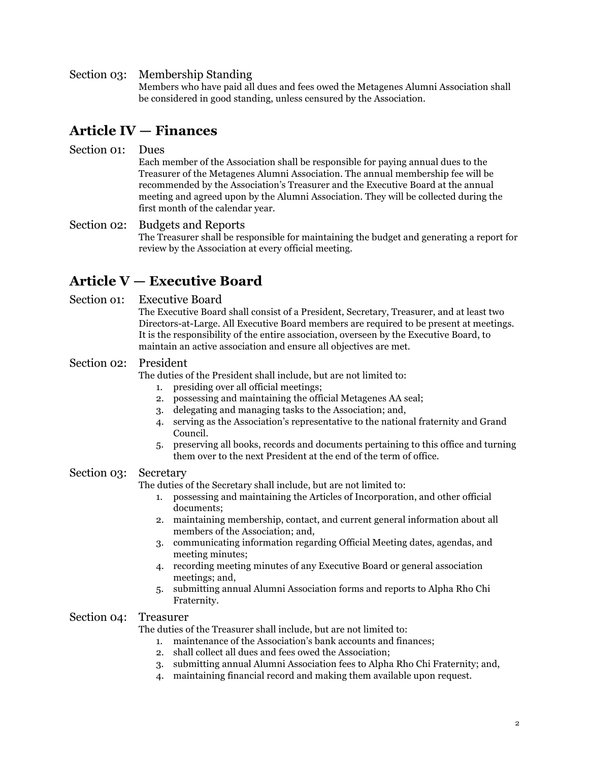#### Section 03: Membership Standing

Members who have paid all dues and fees owed the Metagenes Alumni Association shall be considered in good standing, unless censured by the Association.

### **Article IV — Finances**

### Section 01: Dues

Each member of the Association shall be responsible for paying annual dues to the Treasurer of the Metagenes Alumni Association. The annual membership fee will be recommended by the Association's Treasurer and the Executive Board at the annual meeting and agreed upon by the Alumni Association. They will be collected during the first month of the calendar year.

### Section 02: Budgets and Reports The Treasurer shall be responsible for maintaining the budget and generating a report for review by the Association at every official meeting.

### **Article V — Executive Board**

#### Section o1: Executive Board

The Executive Board shall consist of a President, Secretary, Treasurer, and at least two Directors-at-Large. All Executive Board members are required to be present at meetings. It is the responsibility of the entire association, overseen by the Executive Board, to maintain an active association and ensure all objectives are met.

#### Section 02: President

The duties of the President shall include, but are not limited to:

- 1. presiding over all official meetings;
- 2. possessing and maintaining the official Metagenes AA seal;
- 3. delegating and managing tasks to the Association; and,
- 4. serving as the Association's representative to the national fraternity and Grand Council.
- 5. preserving all books, records and documents pertaining to this office and turning them over to the next President at the end of the term of office.

#### Section 03: Secretary

The duties of the Secretary shall include, but are not limited to:

- 1. possessing and maintaining the Articles of Incorporation, and other official documents;
- 2. maintaining membership, contact, and current general information about all members of the Association; and,
- 3. communicating information regarding Official Meeting dates, agendas, and meeting minutes;
- 4. recording meeting minutes of any Executive Board or general association meetings; and,
- 5. submitting annual Alumni Association forms and reports to Alpha Rho Chi Fraternity.

#### Section 04: Treasurer

The duties of the Treasurer shall include, but are not limited to:

- 1. maintenance of the Association's bank accounts and finances;
- 2. shall collect all dues and fees owed the Association;
- 3. submitting annual Alumni Association fees to Alpha Rho Chi Fraternity; and,
- 4. maintaining financial record and making them available upon request.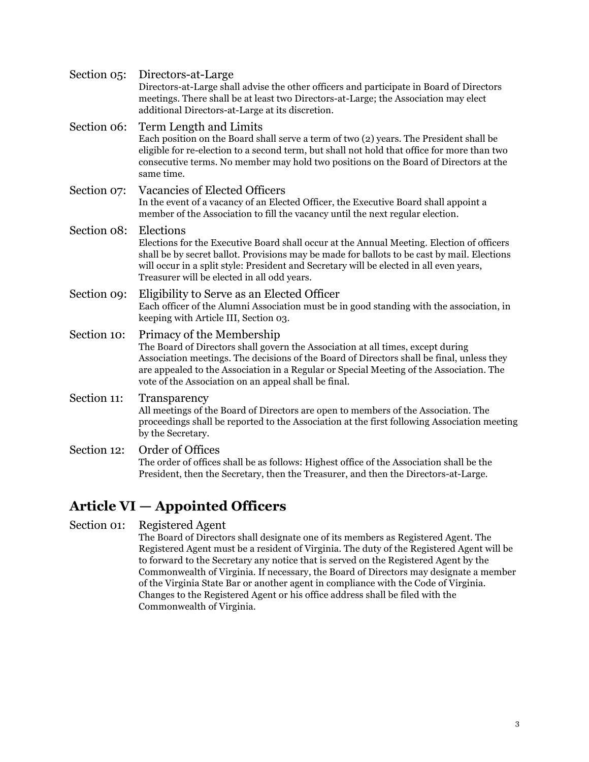| Section 05: | Directors-at-Large<br>Directors-at-Large shall advise the other officers and participate in Board of Directors<br>meetings. There shall be at least two Directors-at-Large; the Association may elect<br>additional Directors-at-Large at its discretion.                                                                                                    |
|-------------|--------------------------------------------------------------------------------------------------------------------------------------------------------------------------------------------------------------------------------------------------------------------------------------------------------------------------------------------------------------|
| Section 06: | Term Length and Limits<br>Each position on the Board shall serve a term of two (2) years. The President shall be<br>eligible for re-election to a second term, but shall not hold that office for more than two<br>consecutive terms. No member may hold two positions on the Board of Directors at the<br>same time.                                        |
| Section 07: | Vacancies of Elected Officers<br>In the event of a vacancy of an Elected Officer, the Executive Board shall appoint a<br>member of the Association to fill the vacancy until the next regular election.                                                                                                                                                      |
| Section 08: | Elections<br>Elections for the Executive Board shall occur at the Annual Meeting. Election of officers<br>shall be by secret ballot. Provisions may be made for ballots to be cast by mail. Elections<br>will occur in a split style: President and Secretary will be elected in all even years,<br>Treasurer will be elected in all odd years.              |
| Section 09: | Eligibility to Serve as an Elected Officer<br>Each officer of the Alumni Association must be in good standing with the association, in<br>keeping with Article III, Section 03.                                                                                                                                                                              |
| Section 10: | Primacy of the Membership<br>The Board of Directors shall govern the Association at all times, except during<br>Association meetings. The decisions of the Board of Directors shall be final, unless they<br>are appealed to the Association in a Regular or Special Meeting of the Association. The<br>vote of the Association on an appeal shall be final. |
| Section 11: | Transparency<br>All meetings of the Board of Directors are open to members of the Association. The<br>proceedings shall be reported to the Association at the first following Association meeting<br>by the Secretary.                                                                                                                                       |
| Section 12: | Order of Offices<br>The order of offices shall be as follows: Highest office of the Association shall be the<br>President, then the Secretary, then the Treasurer, and then the Directors-at-Large.                                                                                                                                                          |
|             |                                                                                                                                                                                                                                                                                                                                                              |

## **Article VI — Appointed Officers**

Section 01: Registered Agent

The Board of Directors shall designate one of its members as Registered Agent. The Registered Agent must be a resident of Virginia. The duty of the Registered Agent will be to forward to the Secretary any notice that is served on the Registered Agent by the Commonwealth of Virginia. If necessary, the Board of Directors may designate a member of the Virginia State Bar or another agent in compliance with the Code of Virginia. Changes to the Registered Agent or his office address shall be filed with the Commonwealth of Virginia.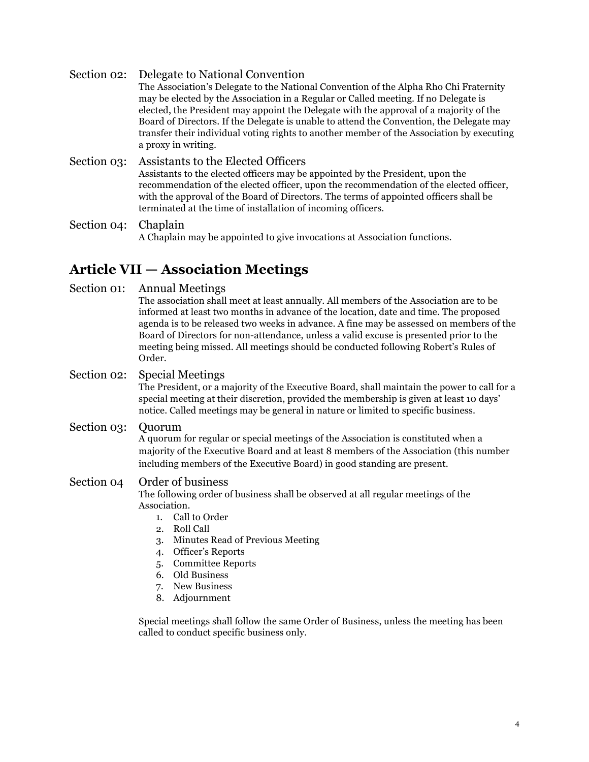Section 02: Delegate to National Convention The Association's Delegate to the National Convention of the Alpha Rho Chi Fraternity may be elected by the Association in a Regular or Called meeting. If no Delegate is elected, the President may appoint the Delegate with the approval of a majority of the Board of Directors. If the Delegate is unable to attend the Convention, the Delegate may transfer their individual voting rights to another member of the Association by executing a proxy in writing. Section 03: Assistants to the Elected Officers Assistants to the elected officers may be appointed by the President, upon the recommendation of the elected officer, upon the recommendation of the elected officer, with the approval of the Board of Directors. The terms of appointed officers shall be

Section 04: Chaplain A Chaplain may be appointed to give invocations at Association functions.

terminated at the time of installation of incoming officers.

### **Article VII — Association Meetings**

Section 01: Annual Meetings

The association shall meet at least annually. All members of the Association are to be informed at least two months in advance of the location, date and time. The proposed agenda is to be released two weeks in advance. A fine may be assessed on members of the Board of Directors for non-attendance, unless a valid excuse is presented prior to the meeting being missed. All meetings should be conducted following Robert's Rules of Order.

### Section 02: Special Meetings

The President, or a majority of the Executive Board, shall maintain the power to call for a special meeting at their discretion, provided the membership is given at least 10 days' notice. Called meetings may be general in nature or limited to specific business.

Section 03: Quorum

A quorum for regular or special meetings of the Association is constituted when a majority of the Executive Board and at least 8 members of the Association (this number including members of the Executive Board) in good standing are present.

### Section 04 Order of business

The following order of business shall be observed at all regular meetings of the Association.

- 1. Call to Order
- 2. Roll Call
- 3. Minutes Read of Previous Meeting
- 4. Officer's Reports
- 5. Committee Reports
- 6. Old Business
- 7. New Business
- 8. Adjournment

Special meetings shall follow the same Order of Business, unless the meeting has been called to conduct specific business only.